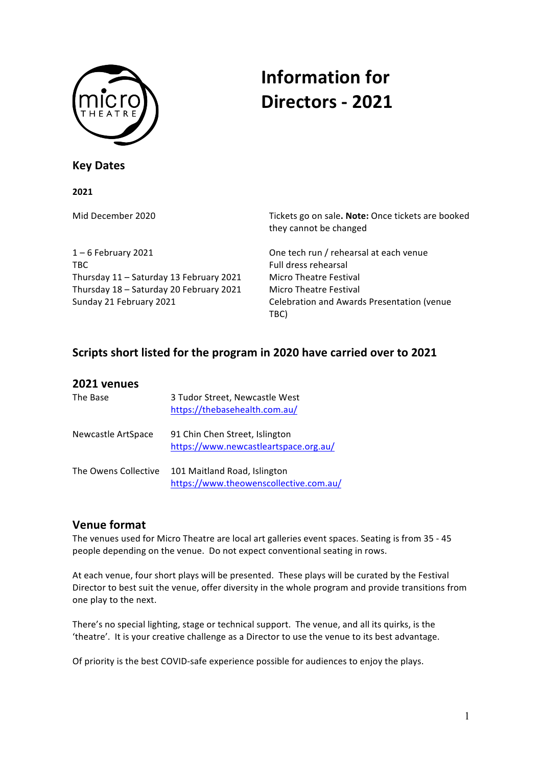

# **Information for Directors - 2021**

## **Key Dates**

#### **2021**

1 – 6 February 2021 **Communist Communist Communist Communist Communist Communist Communist Communist Communist Communist Communist Communist Communist Communist Communist Communist Communist Communist Communist Communist C** TBC Full dress rehearsal Thursday 11 - Saturday 13 February 2021 Micro Theatre Festival Thursday 18 – Saturday 20 February 2021 Micro Theatre Festival

Mid December 2020 **Tickets** go on sale. **Note:** Once tickets are booked they cannot be changed

Sunday 21 February 2021 **Celebration and Awards Presentation (venue** Celebration and Awards Presentation (venue TBC)

# Scripts short listed for the program in 2020 have carried over to 2021

| 2021 venues          |                                                                         |
|----------------------|-------------------------------------------------------------------------|
| The Base             | 3 Tudor Street, Newcastle West<br>https://thebasehealth.com.au/         |
| Newcastle ArtSpace   | 91 Chin Chen Street, Islington<br>https://www.newcastleartspace.org.au/ |
| The Owens Collective | 101 Maitland Road, Islington<br>https://www.theowenscollective.com.au/  |

# **Venue format**

The venues used for Micro Theatre are local art galleries event spaces. Seating is from 35 - 45 people depending on the venue. Do not expect conventional seating in rows.

At each venue, four short plays will be presented. These plays will be curated by the Festival Director to best suit the venue, offer diversity in the whole program and provide transitions from one play to the next.

There's no special lighting, stage or technical support. The venue, and all its quirks, is the 'theatre'. It is your creative challenge as a Director to use the venue to its best advantage.

Of priority is the best COVID-safe experience possible for audiences to enjoy the plays.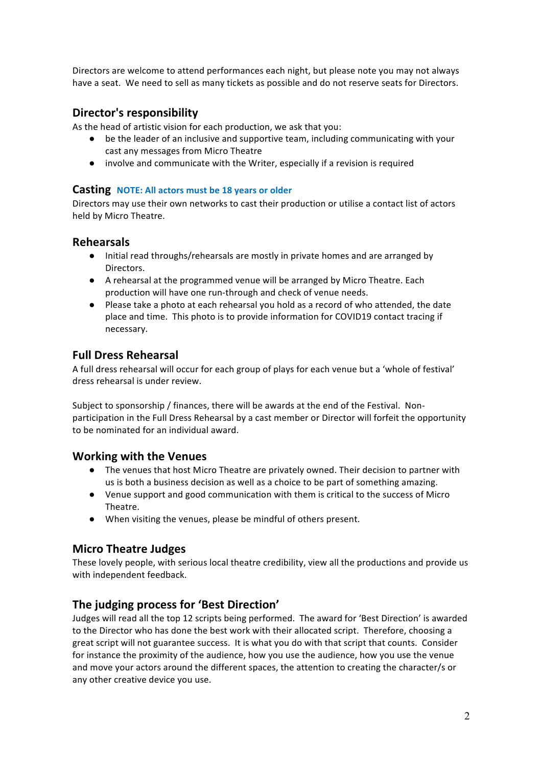Directors are welcome to attend performances each night, but please note you may not always have a seat. We need to sell as many tickets as possible and do not reserve seats for Directors.

# **Director's responsibility**

As the head of artistic vision for each production, we ask that you:

- be the leader of an inclusive and supportive team, including communicating with your cast any messages from Micro Theatre
- involve and communicate with the Writer, especially if a revision is required

#### **Casting NOTE:** All actors must be 18 years or older

Directors may use their own networks to cast their production or utilise a contact list of actors held by Micro Theatre.

#### **Rehearsals**

- Initial read throughs/rehearsals are mostly in private homes and are arranged by Directors.
- A rehearsal at the programmed venue will be arranged by Micro Theatre. Each production will have one run-through and check of venue needs.
- Please take a photo at each rehearsal you hold as a record of who attended, the date place and time. This photo is to provide information for COVID19 contact tracing if necessary.

## **Full Dress Rehearsal**

A full dress rehearsal will occur for each group of plays for each venue but a 'whole of festival' dress rehearsal is under review.

Subject to sponsorship / finances, there will be awards at the end of the Festival. Nonparticipation in the Full Dress Rehearsal by a cast member or Director will forfeit the opportunity to be nominated for an individual award.

## **Working with the Venues**

- The venues that host Micro Theatre are privately owned. Their decision to partner with us is both a business decision as well as a choice to be part of something amazing.
- Venue support and good communication with them is critical to the success of Micro Theatre.
- When visiting the venues, please be mindful of others present.

## **Micro Theatre Judges**

These lovely people, with serious local theatre credibility, view all the productions and provide us with independent feedback.

## The judging process for 'Best Direction'

Judges will read all the top 12 scripts being performed. The award for 'Best Direction' is awarded to the Director who has done the best work with their allocated script. Therefore, choosing a great script will not guarantee success. It is what you do with that script that counts. Consider for instance the proximity of the audience, how you use the audience, how you use the venue and move your actors around the different spaces, the attention to creating the character/s or any other creative device you use.